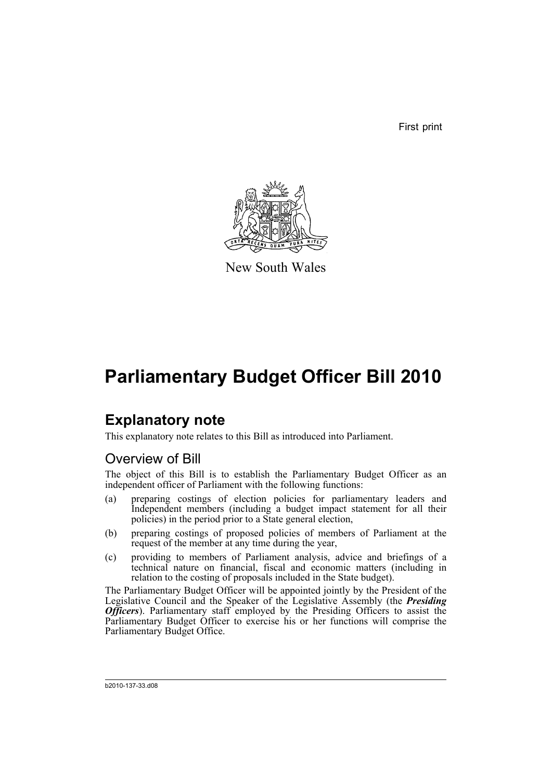First print



New South Wales

# **Parliamentary Budget Officer Bill 2010**

# **Explanatory note**

This explanatory note relates to this Bill as introduced into Parliament.

# Overview of Bill

The object of this Bill is to establish the Parliamentary Budget Officer as an independent officer of Parliament with the following functions:

- (a) preparing costings of election policies for parliamentary leaders and Independent members (including a budget impact statement for all their policies) in the period prior to a State general election,
- (b) preparing costings of proposed policies of members of Parliament at the request of the member at any time during the year,
- (c) providing to members of Parliament analysis, advice and briefings of a technical nature on financial, fiscal and economic matters (including in relation to the costing of proposals included in the State budget).

The Parliamentary Budget Officer will be appointed jointly by the President of the Legislative Council and the Speaker of the Legislative Assembly (the *Presiding Officers*). Parliamentary staff employed by the Presiding Officers to assist the Parliamentary Budget Officer to exercise his or her functions will comprise the Parliamentary Budget Office.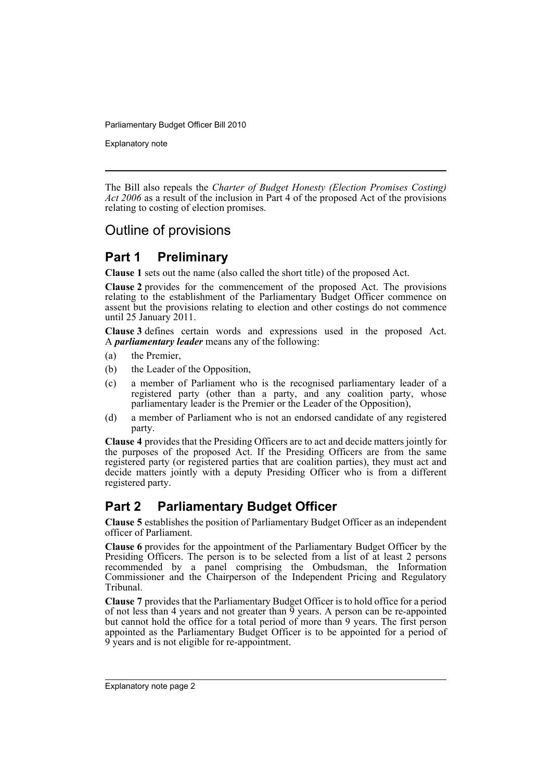Explanatory note

The Bill also repeals the *Charter of Budget Honesty (Election Promises Costing) Act 2006* as a result of the inclusion in Part 4 of the proposed Act of the provisions relating to costing of election promises.

# Outline of provisions

# **Part 1 Preliminary**

**Clause 1** sets out the name (also called the short title) of the proposed Act.

**Clause 2** provides for the commencement of the proposed Act. The provisions relating to the establishment of the Parliamentary Budget Officer commence on assent but the provisions relating to election and other costings do not commence until 25 January 2011.

**Clause 3** defines certain words and expressions used in the proposed Act. A *parliamentary leader* means any of the following:

- (a) the Premier,
- (b) the Leader of the Opposition,
- (c) a member of Parliament who is the recognised parliamentary leader of a registered party (other than a party, and any coalition party, whose parliamentary leader is the Premier or the Leader of the Opposition),
- (d) a member of Parliament who is not an endorsed candidate of any registered party.

**Clause 4** provides that the Presiding Officers are to act and decide matters jointly for the purposes of the proposed Act. If the Presiding Officers are from the same registered party (or registered parties that are coalition parties), they must act and decide matters jointly with a deputy Presiding Officer who is from a different registered party.

# **Part 2 Parliamentary Budget Officer**

**Clause 5** establishes the position of Parliamentary Budget Officer as an independent officer of Parliament.

**Clause 6** provides for the appointment of the Parliamentary Budget Officer by the Presiding Officers. The person is to be selected from a list of at least 2 persons recommended by a panel comprising the Ombudsman, the Information Commissioner and the Chairperson of the Independent Pricing and Regulatory Tribunal.

**Clause 7** provides that the Parliamentary Budget Officer is to hold office for a period of not less than 4 years and not greater than  $\overline{9}$  years. A person can be re-appointed but cannot hold the office for a total period of more than 9 years. The first person appointed as the Parliamentary Budget Officer is to be appointed for a period of 9 years and is not eligible for re-appointment.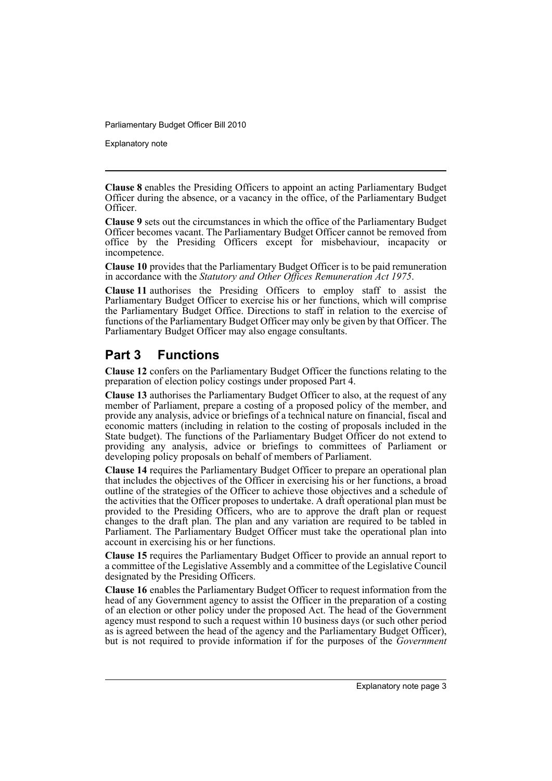Explanatory note

**Clause 8** enables the Presiding Officers to appoint an acting Parliamentary Budget Officer during the absence, or a vacancy in the office, of the Parliamentary Budget Officer.

**Clause 9** sets out the circumstances in which the office of the Parliamentary Budget Officer becomes vacant. The Parliamentary Budget Officer cannot be removed from office by the Presiding Officers except for misbehaviour, incapacity or incompetence.

**Clause 10** provides that the Parliamentary Budget Officer is to be paid remuneration in accordance with the *Statutory and Other Offices Remuneration Act 1975*.

**Clause 11** authorises the Presiding Officers to employ staff to assist the Parliamentary Budget Officer to exercise his or her functions, which will comprise the Parliamentary Budget Office. Directions to staff in relation to the exercise of functions of the Parliamentary Budget Officer may only be given by that Officer. The Parliamentary Budget Officer may also engage consultants.

# **Part 3 Functions**

**Clause 12** confers on the Parliamentary Budget Officer the functions relating to the preparation of election policy costings under proposed Part 4.

**Clause 13** authorises the Parliamentary Budget Officer to also, at the request of any member of Parliament, prepare a costing of a proposed policy of the member, and provide any analysis, advice or briefings of a technical nature on financial, fiscal and economic matters (including in relation to the costing of proposals included in the State budget). The functions of the Parliamentary Budget Officer do not extend to providing any analysis, advice or briefings to committees of Parliament or developing policy proposals on behalf of members of Parliament.

**Clause 14** requires the Parliamentary Budget Officer to prepare an operational plan that includes the objectives of the Officer in exercising his or her functions, a broad outline of the strategies of the Officer to achieve those objectives and a schedule of the activities that the Officer proposes to undertake. A draft operational plan must be provided to the Presiding Officers, who are to approve the draft plan or request changes to the draft plan. The plan and any variation are required to be tabled in Parliament. The Parliamentary Budget Officer must take the operational plan into account in exercising his or her functions.

**Clause 15** requires the Parliamentary Budget Officer to provide an annual report to a committee of the Legislative Assembly and a committee of the Legislative Council designated by the Presiding Officers.

**Clause 16** enables the Parliamentary Budget Officer to request information from the head of any Government agency to assist the Officer in the preparation of a costing of an election or other policy under the proposed Act. The head of the Government agency must respond to such a request within 10 business days (or such other period as is agreed between the head of the agency and the Parliamentary Budget Officer), but is not required to provide information if for the purposes of the *Government*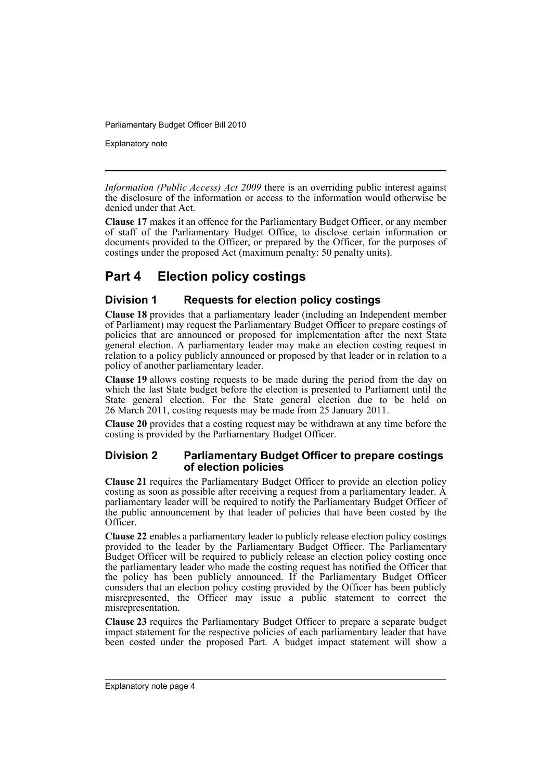Explanatory note

*Information (Public Access) Act 2009* there is an overriding public interest against the disclosure of the information or access to the information would otherwise be denied under that Act.

**Clause 17** makes it an offence for the Parliamentary Budget Officer, or any member of staff of the Parliamentary Budget Office, to disclose certain information or documents provided to the Officer, or prepared by the Officer, for the purposes of costings under the proposed Act (maximum penalty: 50 penalty units).

# **Part 4 Election policy costings**

### **Division 1 Requests for election policy costings**

**Clause 18** provides that a parliamentary leader (including an Independent member of Parliament) may request the Parliamentary Budget Officer to prepare costings of policies that are announced or proposed for implementation after the next State general election. A parliamentary leader may make an election costing request in relation to a policy publicly announced or proposed by that leader or in relation to a policy of another parliamentary leader.

**Clause 19** allows costing requests to be made during the period from the day on which the last State budget before the election is presented to Parliament until the State general election. For the State general election due to be held on 26 March 2011, costing requests may be made from 25 January 2011.

**Clause 20** provides that a costing request may be withdrawn at any time before the costing is provided by the Parliamentary Budget Officer.

### **Division 2 Parliamentary Budget Officer to prepare costings of election policies**

**Clause 21** requires the Parliamentary Budget Officer to provide an election policy costing as soon as possible after receiving a request from a parliamentary leader. A parliamentary leader will be required to notify the Parliamentary Budget Officer of the public announcement by that leader of policies that have been costed by the Officer.

**Clause 22** enables a parliamentary leader to publicly release election policy costings provided to the leader by the Parliamentary Budget Officer. The Parliamentary Budget Officer will be required to publicly release an election policy costing once the parliamentary leader who made the costing request has notified the Officer that the policy has been publicly announced. If the Parliamentary Budget Officer considers that an election policy costing provided by the Officer has been publicly misrepresented, the Officer may issue a public statement to correct the misrepresentation.

**Clause 23** requires the Parliamentary Budget Officer to prepare a separate budget impact statement for the respective policies of each parliamentary leader that have been costed under the proposed Part. A budget impact statement will show a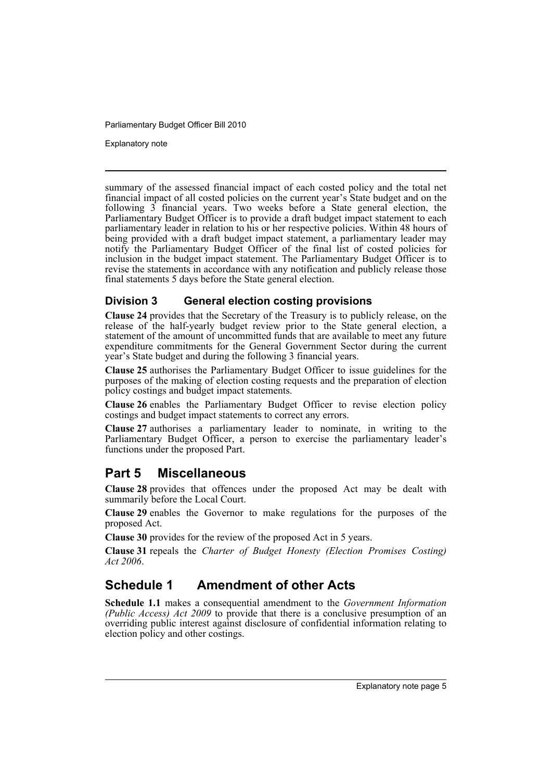Explanatory note

summary of the assessed financial impact of each costed policy and the total net financial impact of all costed policies on the current year's State budget and on the following 3 financial years. Two weeks before a State general election, the Parliamentary Budget Officer is to provide a draft budget impact statement to each parliamentary leader in relation to his or her respective policies. Within 48 hours of being provided with a draft budget impact statement, a parliamentary leader may notify the Parliamentary Budget Officer of the final list of costed policies for inclusion in the budget impact statement. The Parliamentary Budget Officer is to revise the statements in accordance with any notification and publicly release those final statements 5 days before the State general election.

### **Division 3 General election costing provisions**

**Clause 24** provides that the Secretary of the Treasury is to publicly release, on the release of the half-yearly budget review prior to the State general election, a statement of the amount of uncommitted funds that are available to meet any future expenditure commitments for the General Government Sector during the current year's State budget and during the following 3 financial years.

**Clause 25** authorises the Parliamentary Budget Officer to issue guidelines for the purposes of the making of election costing requests and the preparation of election policy costings and budget impact statements.

**Clause 26** enables the Parliamentary Budget Officer to revise election policy costings and budget impact statements to correct any errors.

**Clause 27** authorises a parliamentary leader to nominate, in writing to the Parliamentary Budget Officer, a person to exercise the parliamentary leader's functions under the proposed Part.

## **Part 5 Miscellaneous**

**Clause 28** provides that offences under the proposed Act may be dealt with summarily before the Local Court.

**Clause 29** enables the Governor to make regulations for the purposes of the proposed Act.

**Clause 30** provides for the review of the proposed Act in 5 years.

**Clause 31** repeals the *Charter of Budget Honesty (Election Promises Costing) Act 2006*.

# **Schedule 1 Amendment of other Acts**

**Schedule 1.1** makes a consequential amendment to the *Government Information (Public Access) Act 2009* to provide that there is a conclusive presumption of an overriding public interest against disclosure of confidential information relating to election policy and other costings.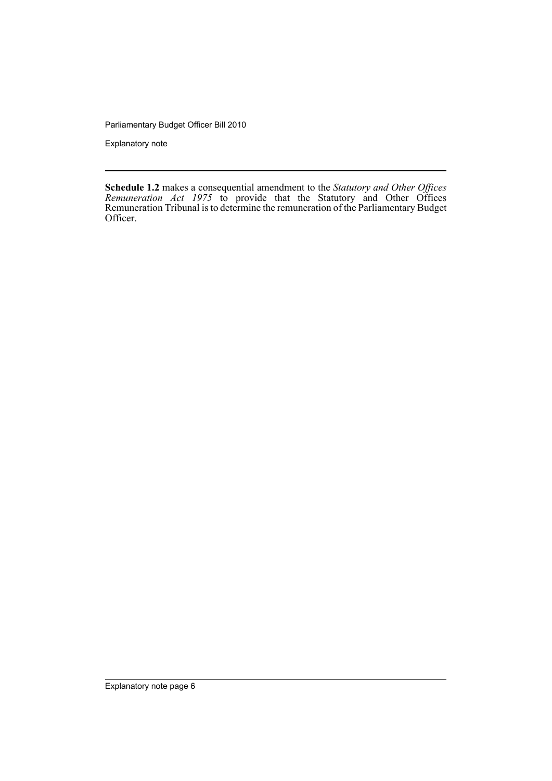Explanatory note

**Schedule 1.2** makes a consequential amendment to the *Statutory and Other Offices Remuneration Act 1975* to provide that the Statutory and Other Offices Remuneration Tribunal is to determine the remuneration of the Parliamentary Budget Officer.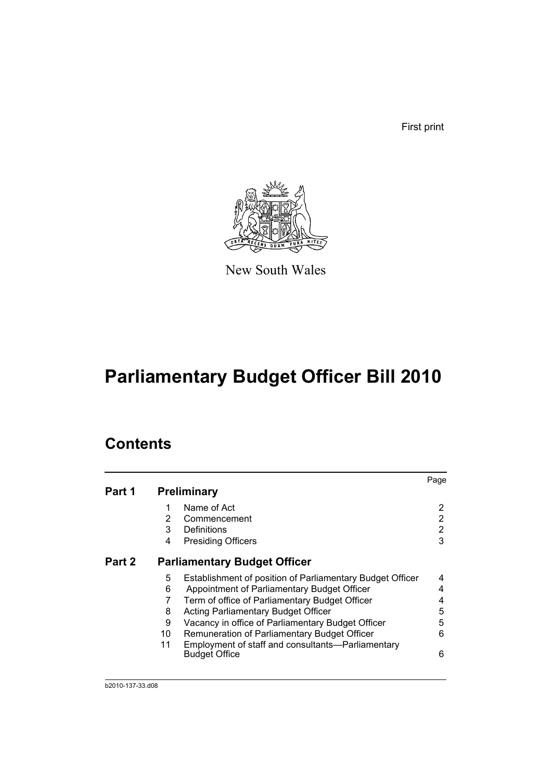First print



New South Wales

# **Parliamentary Budget Officer Bill 2010**

# **Contents**

|        |    |                                                                           | Page |
|--------|----|---------------------------------------------------------------------------|------|
| Part 1 |    | <b>Preliminary</b>                                                        |      |
|        |    | Name of Act                                                               | 2    |
|        | 2  | Commencement                                                              | 2    |
|        | 3  | Definitions                                                               | 2    |
|        | 4  | <b>Presiding Officers</b>                                                 | 3    |
| Part 2 |    | <b>Parliamentary Budget Officer</b>                                       |      |
|        | 5  | Establishment of position of Parliamentary Budget Officer                 | 4    |
|        | 6  | Appointment of Parliamentary Budget Officer                               | 4    |
|        | 7  | Term of office of Parliamentary Budget Officer                            | 4    |
|        | 8  | <b>Acting Parliamentary Budget Officer</b>                                | 5    |
|        | 9  | Vacancy in office of Parliamentary Budget Officer                         | 5    |
|        | 10 | Remuneration of Parliamentary Budget Officer                              | 6    |
|        | 11 | Employment of staff and consultants-Parliamentary<br><b>Budget Office</b> | 6    |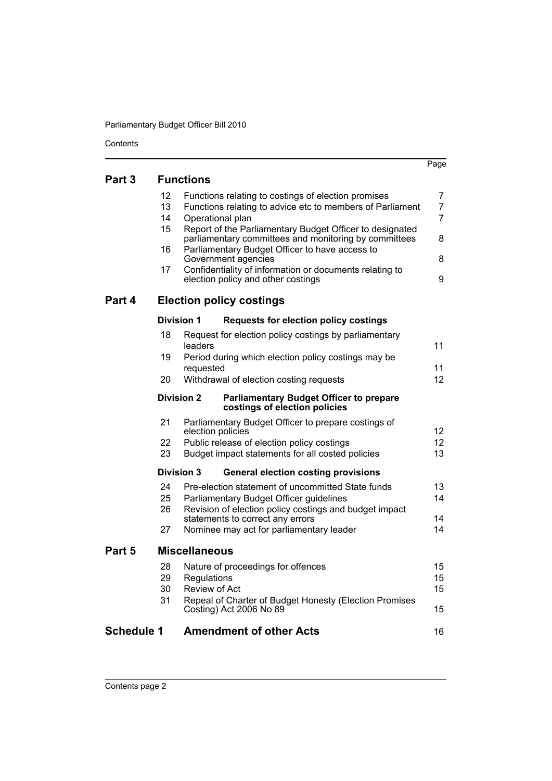Contents

|                   |                   |                      |                                                                                                                   | Page            |
|-------------------|-------------------|----------------------|-------------------------------------------------------------------------------------------------------------------|-----------------|
| Part 3            |                   | <b>Functions</b>     |                                                                                                                   |                 |
|                   | 12                |                      | Functions relating to costings of election promises                                                               | 7               |
|                   | 13                |                      | Functions relating to advice etc to members of Parliament                                                         | $\overline{7}$  |
|                   | 14                | Operational plan     |                                                                                                                   | $\overline{7}$  |
|                   | 15                |                      | Report of the Parliamentary Budget Officer to designated<br>parliamentary committees and monitoring by committees | 8               |
|                   | 16                |                      | Parliamentary Budget Officer to have access to                                                                    |                 |
|                   |                   |                      | Government agencies                                                                                               | 8               |
|                   | 17                |                      | Confidentiality of information or documents relating to<br>election policy and other costings                     | 9               |
| Part 4            |                   |                      | <b>Election policy costings</b>                                                                                   |                 |
|                   | <b>Division 1</b> |                      | <b>Requests for election policy costings</b>                                                                      |                 |
|                   | 18                | leaders              | Request for election policy costings by parliamentary                                                             | 11              |
|                   | 19                |                      | Period during which election policy costings may be                                                               |                 |
|                   |                   | requested            |                                                                                                                   | 11              |
|                   | 20                |                      | Withdrawal of election costing requests                                                                           | 12 <sub>2</sub> |
|                   |                   | <b>Division 2</b>    | <b>Parliamentary Budget Officer to prepare</b><br>costings of election policies                                   |                 |
|                   | 21                | election policies    | Parliamentary Budget Officer to prepare costings of                                                               | 12 <sup>2</sup> |
|                   | 22                |                      | Public release of election policy costings                                                                        | 12 <sup>2</sup> |
|                   | 23                |                      | Budget impact statements for all costed policies                                                                  | 13              |
|                   |                   | <b>Division 3</b>    | <b>General election costing provisions</b>                                                                        |                 |
|                   | 24                |                      | Pre-election statement of uncommitted State funds                                                                 | 13              |
|                   | 25                |                      | Parliamentary Budget Officer guidelines                                                                           | 14              |
|                   | 26                |                      | Revision of election policy costings and budget impact<br>statements to correct any errors                        | 14              |
|                   | 27                |                      | Nominee may act for parliamentary leader                                                                          | 14              |
| Part 5            |                   | <b>Miscellaneous</b> |                                                                                                                   |                 |
|                   | 28                |                      | Nature of proceedings for offences                                                                                | 15              |
|                   | 29                | Regulations          |                                                                                                                   | 15              |
|                   | 30                | <b>Review of Act</b> |                                                                                                                   | 15              |
|                   | 31                |                      | Repeal of Charter of Budget Honesty (Election Promises<br>Costing) Act 2006 No 89                                 | 15              |
| <b>Schedule 1</b> |                   |                      | <b>Amendment of other Acts</b>                                                                                    | 16              |
|                   |                   |                      |                                                                                                                   |                 |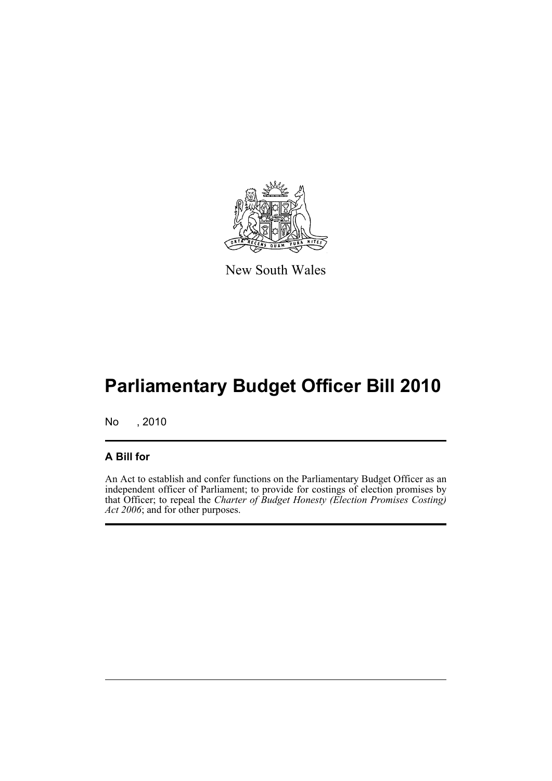

New South Wales

# **Parliamentary Budget Officer Bill 2010**

No , 2010

### **A Bill for**

An Act to establish and confer functions on the Parliamentary Budget Officer as an independent officer of Parliament; to provide for costings of election promises by that Officer; to repeal the *Charter of Budget Honesty (Election Promises Costing) Act 2006*; and for other purposes.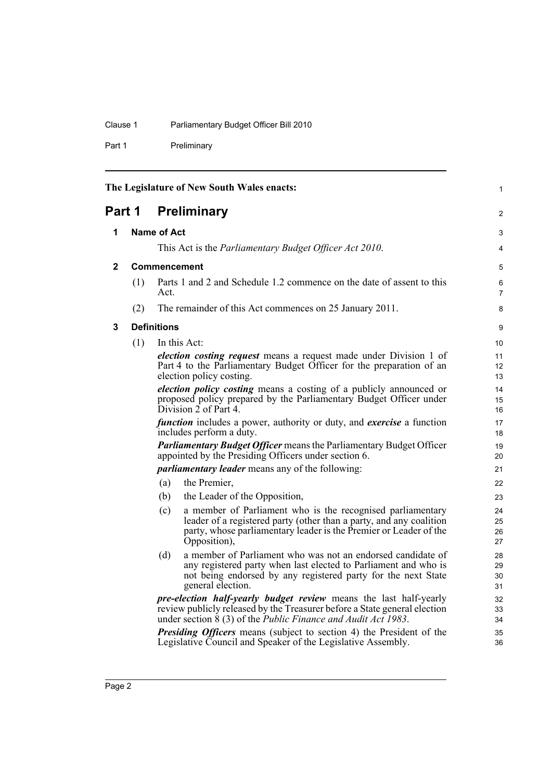### Clause 1 Parliamentary Budget Officer Bill 2010

Part 1 Preliminary

<span id="page-9-3"></span><span id="page-9-2"></span><span id="page-9-1"></span><span id="page-9-0"></span>

|              |     |                                                                | The Legislature of New South Wales enacts:                                                                                                                                                                                      | 1                    |
|--------------|-----|----------------------------------------------------------------|---------------------------------------------------------------------------------------------------------------------------------------------------------------------------------------------------------------------------------|----------------------|
| Part 1       |     |                                                                | <b>Preliminary</b>                                                                                                                                                                                                              | 2                    |
| 1            |     | <b>Name of Act</b>                                             |                                                                                                                                                                                                                                 | 3                    |
|              |     | This Act is the <i>Parliamentary Budget Officer Act 2010</i> . |                                                                                                                                                                                                                                 |                      |
| $\mathbf{2}$ |     | <b>Commencement</b>                                            |                                                                                                                                                                                                                                 | 5                    |
|              | (1) | Act.                                                           | Parts 1 and 2 and Schedule 1.2 commence on the date of assent to this                                                                                                                                                           | 6<br>7               |
|              | (2) |                                                                | The remainder of this Act commences on 25 January 2011.                                                                                                                                                                         | 8                    |
| 3            |     | <b>Definitions</b>                                             |                                                                                                                                                                                                                                 | 9                    |
|              | (1) |                                                                | In this Act:                                                                                                                                                                                                                    | 10                   |
|              |     |                                                                | election costing request means a request made under Division 1 of<br>Part 4 to the Parliamentary Budget Officer for the preparation of an<br>election policy costing.                                                           | 11<br>12<br>13       |
|              |     |                                                                | <i>election policy costing</i> means a costing of a publicly announced or<br>proposed policy prepared by the Parliamentary Budget Officer under<br>Division $2$ of Part 4.                                                      | 14<br>15<br>16       |
|              |     |                                                                | <i>function</i> includes a power, authority or duty, and <i>exercise</i> a function<br>includes perform a duty.                                                                                                                 | 17<br>18             |
|              |     |                                                                | <b>Parliamentary Budget Officer means the Parliamentary Budget Officer</b><br>appointed by the Presiding Officers under section 6.                                                                                              | 19<br>20             |
|              |     |                                                                | <i>parliamentary leader</i> means any of the following:                                                                                                                                                                         | 21                   |
|              |     | (a)                                                            | the Premier,                                                                                                                                                                                                                    | 22                   |
|              |     | (b)                                                            | the Leader of the Opposition,                                                                                                                                                                                                   | 23                   |
|              |     | (c)                                                            | a member of Parliament who is the recognised parliamentary<br>leader of a registered party (other than a party, and any coalition<br>party, whose parliamentary leader is the Premier or Leader of the<br>Opposition),          | 24<br>25<br>26<br>27 |
|              |     | (d)                                                            | a member of Parliament who was not an endorsed candidate of<br>any registered party when last elected to Parliament and who is<br>not being endorsed by any registered party for the next State<br>general election.            | 28<br>29<br>30<br>31 |
|              |     |                                                                | <i>pre-election half-yearly budget review</i> means the last half-yearly<br>review publicly released by the Treasurer before a State general election<br>under section $8(3)$ of the <i>Public Finance and Audit Act 1983</i> . | 32<br>33<br>34       |
|              |     |                                                                | <b>Presiding Officers</b> means (subject to section 4) the President of the<br>Legislative Council and Speaker of the Legislative Assembly.                                                                                     | 35<br>36             |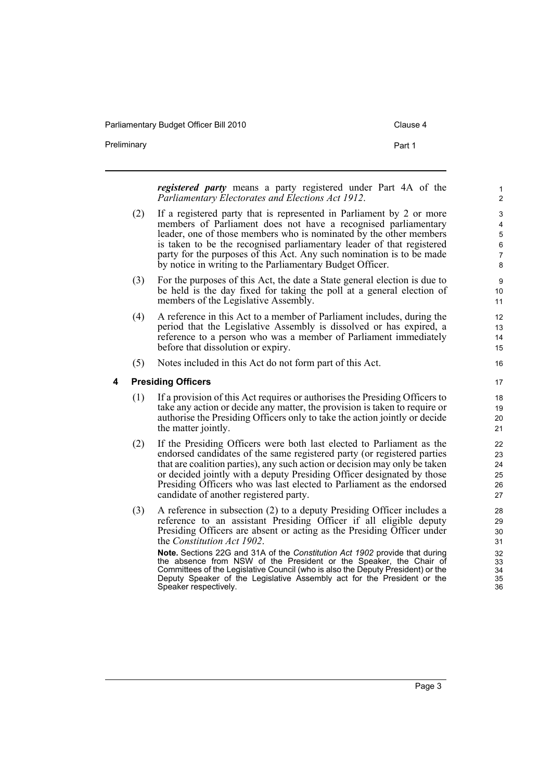Parliamentary Budget Officer Bill 2010 Clause 4

Preliminary **Preliminary Part 1** 

*registered party* means a party registered under Part 4A of the *Parliamentary Electorates and Elections Act 1912*.

- (2) If a registered party that is represented in Parliament by 2 or more members of Parliament does not have a recognised parliamentary leader, one of those members who is nominated by the other members is taken to be the recognised parliamentary leader of that registered party for the purposes of this Act. Any such nomination is to be made by notice in writing to the Parliamentary Budget Officer.
- (3) For the purposes of this Act, the date a State general election is due to be held is the day fixed for taking the poll at a general election of members of the Legislative Assembly.
- (4) A reference in this Act to a member of Parliament includes, during the period that the Legislative Assembly is dissolved or has expired, a reference to a person who was a member of Parliament immediately before that dissolution or expiry.
- (5) Notes included in this Act do not form part of this Act.

#### <span id="page-10-0"></span>**4 Presiding Officers**

- (1) If a provision of this Act requires or authorises the Presiding Officers to take any action or decide any matter, the provision is taken to require or authorise the Presiding Officers only to take the action jointly or decide the matter jointly.
- (2) If the Presiding Officers were both last elected to Parliament as the endorsed candidates of the same registered party (or registered parties that are coalition parties), any such action or decision may only be taken or decided jointly with a deputy Presiding Officer designated by those Presiding Officers who was last elected to Parliament as the endorsed candidate of another registered party.
- (3) A reference in subsection (2) to a deputy Presiding Officer includes a reference to an assistant Presiding Officer if all eligible deputy Presiding Officers are absent or acting as the Presiding Officer under the *Constitution Act 1902*.

**Note.** Sections 22G and 31A of the *Constitution Act 1902* provide that during the absence from NSW of the President or the Speaker, the Chair of Committees of the Legislative Council (who is also the Deputy President) or the Deputy Speaker of the Legislative Assembly act for the President or the Speaker respectively.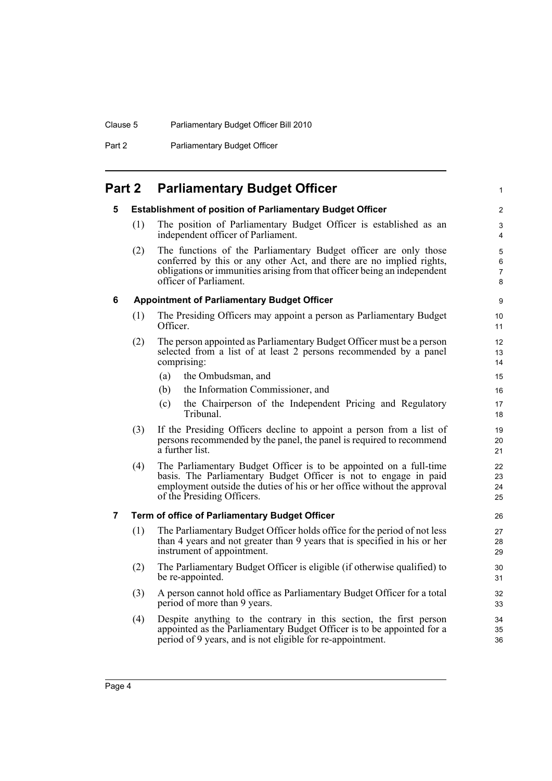Clause 5 Parliamentary Budget Officer Bill 2010

Part 2 **Parliamentary Budget Officer** 

# <span id="page-11-1"></span><span id="page-11-0"></span>**Part 2 Parliamentary Budget Officer**

#### **5 Establishment of position of Parliamentary Budget Officer**

(1) The position of Parliamentary Budget Officer is established as an independent officer of Parliament.

1

(2) The functions of the Parliamentary Budget officer are only those conferred by this or any other Act, and there are no implied rights, obligations or immunities arising from that officer being an independent officer of Parliament.

#### <span id="page-11-2"></span>**6 Appointment of Parliamentary Budget Officer**

- (1) The Presiding Officers may appoint a person as Parliamentary Budget Officer.
- (2) The person appointed as Parliamentary Budget Officer must be a person selected from a list of at least 2 persons recommended by a panel comprising:
	- (a) the Ombudsman, and
	- (b) the Information Commissioner, and
	- (c) the Chairperson of the Independent Pricing and Regulatory Tribunal.
- (3) If the Presiding Officers decline to appoint a person from a list of persons recommended by the panel, the panel is required to recommend a further list.
- (4) The Parliamentary Budget Officer is to be appointed on a full-time basis. The Parliamentary Budget Officer is not to engage in paid employment outside the duties of his or her office without the approval of the Presiding Officers.

#### <span id="page-11-3"></span>**7 Term of office of Parliamentary Budget Officer**

- (1) The Parliamentary Budget Officer holds office for the period of not less than 4 years and not greater than 9 years that is specified in his or her instrument of appointment.
- (2) The Parliamentary Budget Officer is eligible (if otherwise qualified) to be re-appointed.
- (3) A person cannot hold office as Parliamentary Budget Officer for a total period of more than 9 years.
- (4) Despite anything to the contrary in this section, the first person appointed as the Parliamentary Budget Officer is to be appointed for a period of 9 years, and is not eligible for re-appointment.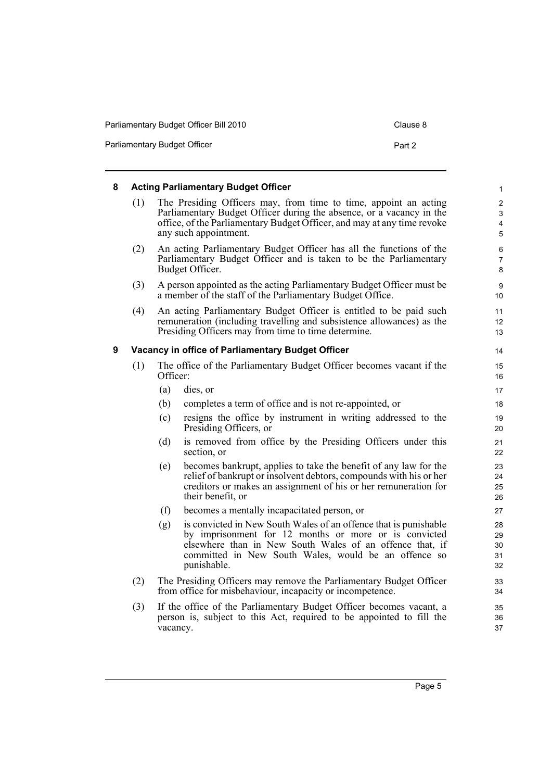| Parliamentary Budget Officer Bill 2010 | Clause 8 |
|----------------------------------------|----------|
|----------------------------------------|----------|

Parliamentary Budget Officer **Part 2 Part 2** 

#### <span id="page-12-1"></span><span id="page-12-0"></span>**8 Acting Parliamentary Budget Officer** (1) The Presiding Officers may, from time to time, appoint an acting Parliamentary Budget Officer during the absence, or a vacancy in the office, of the Parliamentary Budget Officer, and may at any time revoke any such appointment. (2) An acting Parliamentary Budget Officer has all the functions of the Parliamentary Budget Officer and is taken to be the Parliamentary Budget Officer. (3) A person appointed as the acting Parliamentary Budget Officer must be a member of the staff of the Parliamentary Budget Office. (4) An acting Parliamentary Budget Officer is entitled to be paid such remuneration (including travelling and subsistence allowances) as the Presiding Officers may from time to time determine. **9 Vacancy in office of Parliamentary Budget Officer** (1) The office of the Parliamentary Budget Officer becomes vacant if the Officer: (a) dies, or (b) completes a term of office and is not re-appointed, or (c) resigns the office by instrument in writing addressed to the Presiding Officers, or (d) is removed from office by the Presiding Officers under this section, or (e) becomes bankrupt, applies to take the benefit of any law for the relief of bankrupt or insolvent debtors, compounds with his or her creditors or makes an assignment of his or her remuneration for their benefit, or (f) becomes a mentally incapacitated person, or (g) is convicted in New South Wales of an offence that is punishable by imprisonment for 12 months or more or is convicted elsewhere than in New South Wales of an offence that, if committed in New South Wales, would be an offence so punishable. (2) The Presiding Officers may remove the Parliamentary Budget Officer from office for misbehaviour, incapacity or incompetence. (3) If the office of the Parliamentary Budget Officer becomes vacant, a person is, subject to this Act, required to be appointed to fill the vacancy. 1 2 3 4 5 6 7 8 9 10 11 12 13 14 15 16 17 18 19 20 21 22 23 24 25 26 27 28 29 30 31 32 33 34 35 36 37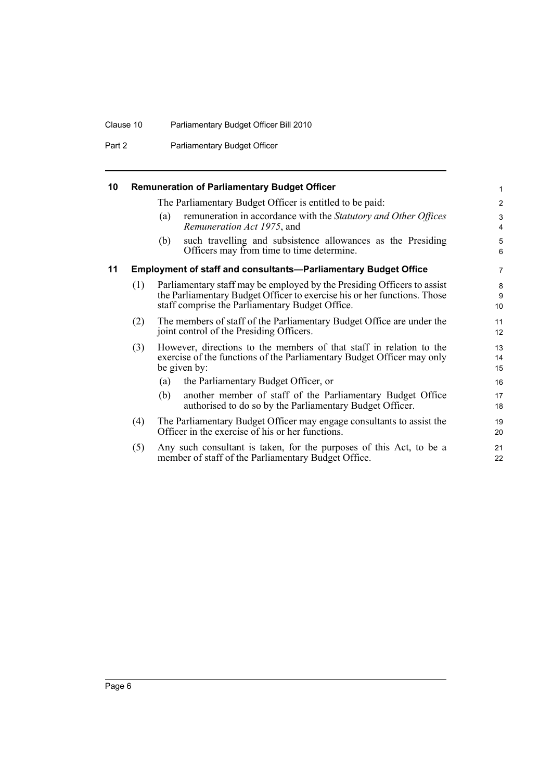#### Clause 10 Parliamentary Budget Officer Bill 2010

Part 2 **Parliamentary Budget Officer** 

#### <span id="page-13-0"></span>**10 Remuneration of Parliamentary Budget Officer**

The Parliamentary Budget Officer is entitled to be paid:

(a) remuneration in accordance with the *Statutory and Other Offices Remuneration Act 1975*, and

(b) such travelling and subsistence allowances as the Presiding Officers may from time to time determine.

#### <span id="page-13-1"></span>**11 Employment of staff and consultants—Parliamentary Budget Office**

- (1) Parliamentary staff may be employed by the Presiding Officers to assist the Parliamentary Budget Officer to exercise his or her functions. Those staff comprise the Parliamentary Budget Office.
- (2) The members of staff of the Parliamentary Budget Office are under the joint control of the Presiding Officers.
- (3) However, directions to the members of that staff in relation to the exercise of the functions of the Parliamentary Budget Officer may only be given by:
	- (a) the Parliamentary Budget Officer, or
	- (b) another member of staff of the Parliamentary Budget Office authorised to do so by the Parliamentary Budget Officer.
- (4) The Parliamentary Budget Officer may engage consultants to assist the Officer in the exercise of his or her functions.
- (5) Any such consultant is taken, for the purposes of this Act, to be a member of staff of the Parliamentary Budget Office.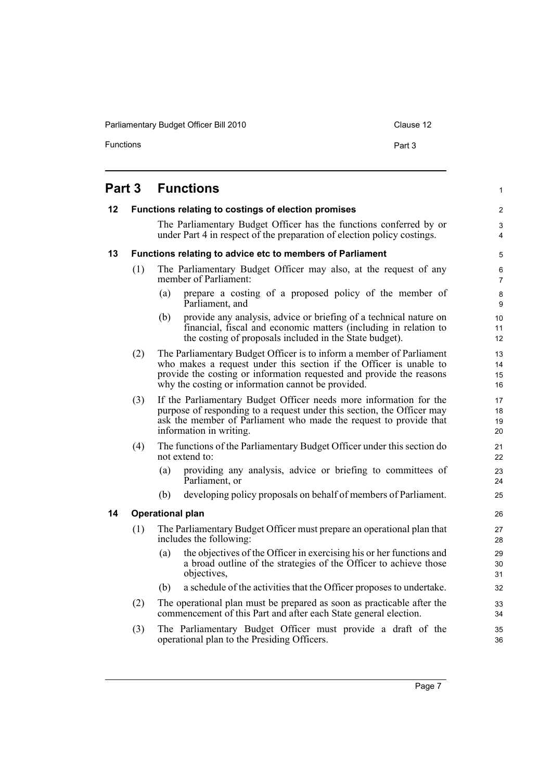Parliamentary Budget Officer Bill 2010 Clause 12

Functions **Part 3** 

1

# <span id="page-14-0"></span>**Part 3 Functions**

<span id="page-14-3"></span><span id="page-14-2"></span><span id="page-14-1"></span>

| 12 |                                                           |                                                                                                                                                                                                                                              | Functions relating to costings of election promises                                                                                                                                                                                                                      | $\mathbf{2}$                             |  |  |  |
|----|-----------------------------------------------------------|----------------------------------------------------------------------------------------------------------------------------------------------------------------------------------------------------------------------------------------------|--------------------------------------------------------------------------------------------------------------------------------------------------------------------------------------------------------------------------------------------------------------------------|------------------------------------------|--|--|--|
|    |                                                           |                                                                                                                                                                                                                                              | The Parliamentary Budget Officer has the functions conferred by or<br>under Part 4 in respect of the preparation of election policy costings.                                                                                                                            | 3<br>4                                   |  |  |  |
| 13 | Functions relating to advice etc to members of Parliament |                                                                                                                                                                                                                                              |                                                                                                                                                                                                                                                                          |                                          |  |  |  |
|    | (1)                                                       |                                                                                                                                                                                                                                              | The Parliamentary Budget Officer may also, at the request of any<br>member of Parliament:                                                                                                                                                                                | 6<br>$\overline{7}$                      |  |  |  |
|    |                                                           | (a)                                                                                                                                                                                                                                          | prepare a costing of a proposed policy of the member of<br>Parliament, and                                                                                                                                                                                               | 8<br>9                                   |  |  |  |
|    |                                                           | (b)                                                                                                                                                                                                                                          | provide any analysis, advice or briefing of a technical nature on<br>financial, fiscal and economic matters (including in relation to<br>the costing of proposals included in the State budget).                                                                         | 10 <sup>1</sup><br>11<br>12 <sup>2</sup> |  |  |  |
|    | (2)                                                       |                                                                                                                                                                                                                                              | The Parliamentary Budget Officer is to inform a member of Parliament<br>who makes a request under this section if the Officer is unable to<br>provide the costing or information requested and provide the reasons<br>why the costing or information cannot be provided. | 13<br>14<br>15<br>16                     |  |  |  |
|    | (3)                                                       | If the Parliamentary Budget Officer needs more information for the<br>purpose of responding to a request under this section, the Officer may<br>ask the member of Parliament who made the request to provide that<br>information in writing. |                                                                                                                                                                                                                                                                          |                                          |  |  |  |
|    | (4)                                                       |                                                                                                                                                                                                                                              | The functions of the Parliamentary Budget Officer under this section do<br>not extend to:                                                                                                                                                                                | 21<br>22                                 |  |  |  |
|    |                                                           | (a)                                                                                                                                                                                                                                          | providing any analysis, advice or briefing to committees of<br>Parliament, or                                                                                                                                                                                            | 23<br>24                                 |  |  |  |
|    |                                                           | (b)                                                                                                                                                                                                                                          | developing policy proposals on behalf of members of Parliament.                                                                                                                                                                                                          | 25                                       |  |  |  |
| 14 | <b>Operational plan</b>                                   |                                                                                                                                                                                                                                              |                                                                                                                                                                                                                                                                          |                                          |  |  |  |
|    | (1)                                                       |                                                                                                                                                                                                                                              | The Parliamentary Budget Officer must prepare an operational plan that<br>includes the following:                                                                                                                                                                        | 27<br>28                                 |  |  |  |
|    |                                                           | (a)                                                                                                                                                                                                                                          | the objectives of the Officer in exercising his or her functions and<br>a broad outline of the strategies of the Officer to achieve those<br>objectives,                                                                                                                 | 29<br>30<br>31                           |  |  |  |
|    |                                                           | (b)                                                                                                                                                                                                                                          | a schedule of the activities that the Officer proposes to undertake.                                                                                                                                                                                                     | 32                                       |  |  |  |
|    | (2)                                                       |                                                                                                                                                                                                                                              | The operational plan must be prepared as soon as practicable after the<br>commencement of this Part and after each State general election.                                                                                                                               | 33<br>34                                 |  |  |  |
|    | (3)                                                       |                                                                                                                                                                                                                                              | The Parliamentary Budget Officer must provide a draft of the<br>operational plan to the Presiding Officers.                                                                                                                                                              | 35<br>36                                 |  |  |  |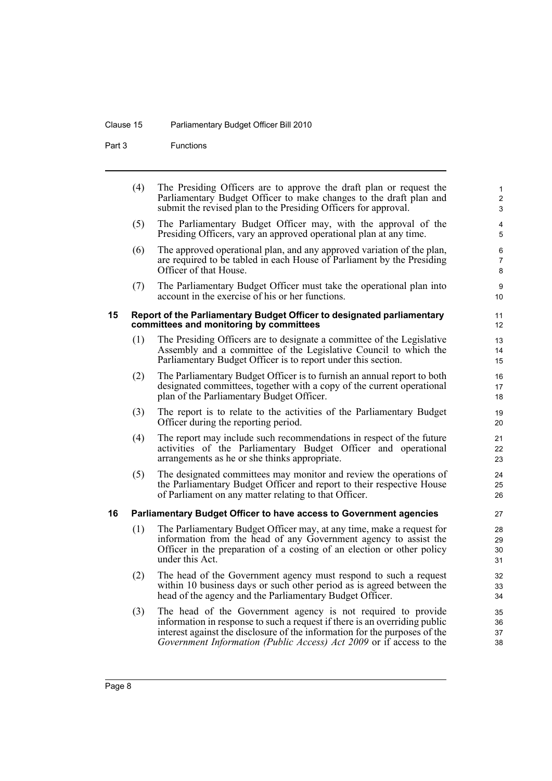#### Clause 15 Parliamentary Budget Officer Bill 2010

Part 3 Functions

|    | (4) | The Presiding Officers are to approve the draft plan or request the<br>Parliamentary Budget Officer to make changes to the draft plan and<br>submit the revised plan to the Presiding Officers for approval. | $\mathbf{1}$<br>$\overline{c}$<br>3 |
|----|-----|--------------------------------------------------------------------------------------------------------------------------------------------------------------------------------------------------------------|-------------------------------------|
|    | (5) | The Parliamentary Budget Officer may, with the approval of the<br>Presiding Officers, vary an approved operational plan at any time.                                                                         | $\overline{4}$<br>5                 |
|    | (6) | The approved operational plan, and any approved variation of the plan,<br>are required to be tabled in each House of Parliament by the Presiding<br>Officer of that House.                                   | 6<br>$\overline{7}$<br>8            |
|    | (7) | The Parliamentary Budget Officer must take the operational plan into<br>account in the exercise of his or her functions.                                                                                     | 9<br>10                             |
| 15 |     | Report of the Parliamentary Budget Officer to designated parliamentary<br>committees and monitoring by committees                                                                                            | 11<br>12                            |
|    | (1) | The Presiding Officers are to designate a committee of the Legislative<br>Assembly and a committee of the Legislative Council to which the<br>Parliamentary Budget Officer is to report under this section.  | 13<br>14<br>15                      |
|    | (2) | The Parliamentary Budget Officer is to furnish an annual report to both<br>designated committees, together with a copy of the current operational<br>plan of the Parliamentary Budget Officer.               | 16<br>17<br>18                      |
|    | (3) | The report is to relate to the activities of the Parliamentary Budget<br>Officer during the reporting period.                                                                                                | 19<br>20                            |
|    | (4) | The report may include such recommendations in respect of the future                                                                                                                                         | 21                                  |

- <span id="page-15-0"></span>(4) The report may include such recommendations in respect of the future activities of the Parliamentary Budget Officer and operational arrangements as he or she thinks appropriate.
- (5) The designated committees may monitor and review the operations of the Parliamentary Budget Officer and report to their respective House of Parliament on any matter relating to that Officer.

#### <span id="page-15-1"></span>**16 Parliamentary Budget Officer to have access to Government agencies**

- (1) The Parliamentary Budget Officer may, at any time, make a request for information from the head of any Government agency to assist the Officer in the preparation of a costing of an election or other policy under this Act.
- (2) The head of the Government agency must respond to such a request within 10 business days or such other period as is agreed between the head of the agency and the Parliamentary Budget Officer.
- (3) The head of the Government agency is not required to provide information in response to such a request if there is an overriding public interest against the disclosure of the information for the purposes of the *Government Information (Public Access) Act 2009* or if access to the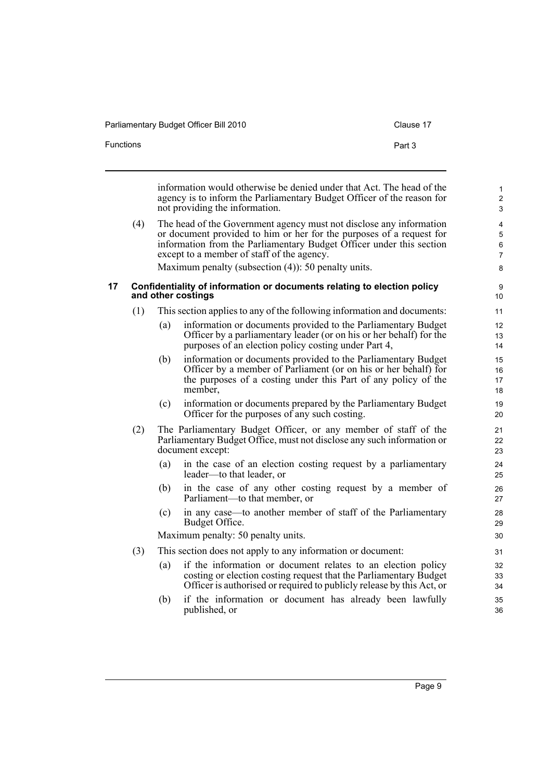Parliamentary Budget Officer Bill 2010 Clause 17 Functions **Part 3** 

<span id="page-16-0"></span>information would otherwise be denied under that Act. The head of the agency is to inform the Parliamentary Budget Officer of the reason for not providing the information. (4) The head of the Government agency must not disclose any information or document provided to him or her for the purposes of a request for information from the Parliamentary Budget Officer under this section except to a member of staff of the agency. Maximum penalty (subsection (4)): 50 penalty units. **17 Confidentiality of information or documents relating to election policy and other costings** (1) This section applies to any of the following information and documents: (a) information or documents provided to the Parliamentary Budget Officer by a parliamentary leader (or on his or her behalf) for the purposes of an election policy costing under Part 4, (b) information or documents provided to the Parliamentary Budget Officer by a member of Parliament (or on his or her behalf) for the purposes of a costing under this Part of any policy of the member, (c) information or documents prepared by the Parliamentary Budget Officer for the purposes of any such costing. (2) The Parliamentary Budget Officer, or any member of staff of the Parliamentary Budget Office, must not disclose any such information or document except: (a) in the case of an election costing request by a parliamentary leader—to that leader, or (b) in the case of any other costing request by a member of Parliament—to that member, or (c) in any case—to another member of staff of the Parliamentary Budget Office. Maximum penalty: 50 penalty units. (3) This section does not apply to any information or document: 1  $\overline{2}$ 3 4 5 6 7 8 9 10 11 12 13 14 15 16 17 18 19 20 21 22 23  $24$ 25 26 27 28 29 30 31 32

- (a) if the information or document relates to an election policy costing or election costing request that the Parliamentary Budget Officer is authorised or required to publicly release by this Act, or
- (b) if the information or document has already been lawfully published, or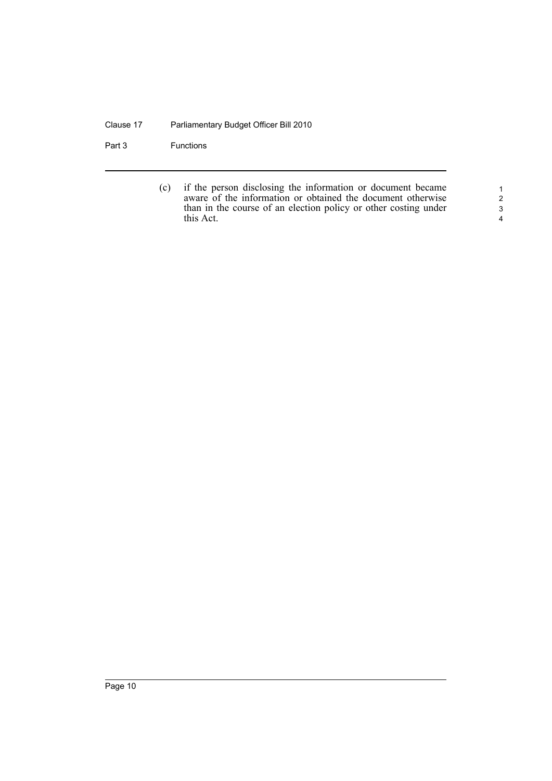#### Clause 17 Parliamentary Budget Officer Bill 2010

Part 3 Functions

(c) if the person disclosing the information or document became aware of the information or obtained the document otherwise than in the course of an election policy or other costing under this Act.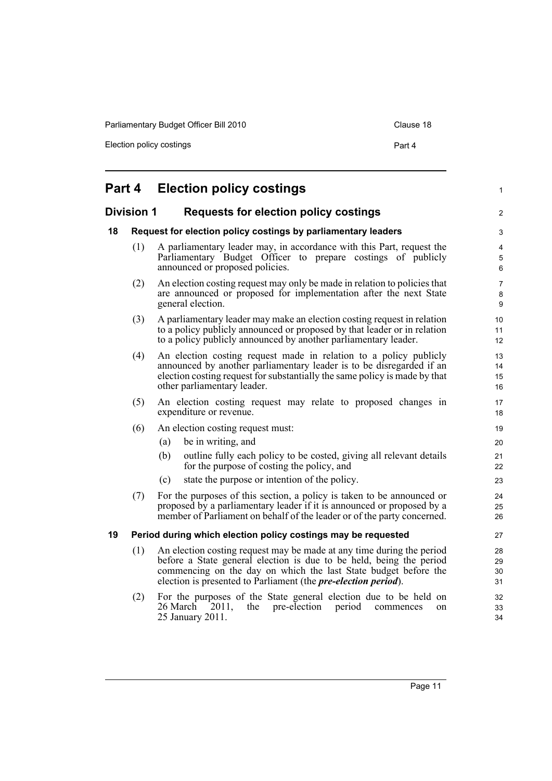Parliamentary Budget Officer Bill 2010 Clause 18

Election policy costings **Part 4** 

<span id="page-18-3"></span><span id="page-18-2"></span><span id="page-18-1"></span><span id="page-18-0"></span>

|    |                                                                   | <b>Part 4 Election policy costings</b>                                                                                                                                                                                                                                                    | $\mathbf{1}$                   |  |  |  |
|----|-------------------------------------------------------------------|-------------------------------------------------------------------------------------------------------------------------------------------------------------------------------------------------------------------------------------------------------------------------------------------|--------------------------------|--|--|--|
|    | <b>Division 1</b><br><b>Requests for election policy costings</b> |                                                                                                                                                                                                                                                                                           |                                |  |  |  |
| 18 |                                                                   | Request for election policy costings by parliamentary leaders                                                                                                                                                                                                                             |                                |  |  |  |
|    | (1)                                                               | A parliamentary leader may, in accordance with this Part, request the<br>Parliamentary Budget Officer to prepare costings of publicly<br>announced or proposed policies.                                                                                                                  | 4<br>5<br>6                    |  |  |  |
|    | (2)                                                               | An election costing request may only be made in relation to policies that<br>are announced or proposed for implementation after the next State<br>general election.                                                                                                                       | $\overline{7}$<br>$\bf 8$<br>9 |  |  |  |
|    | (3)                                                               | A parliamentary leader may make an election costing request in relation<br>to a policy publicly announced or proposed by that leader or in relation<br>to a policy publicly announced by another parliamentary leader.                                                                    | 10<br>11<br>12 <sup>2</sup>    |  |  |  |
|    | (4)                                                               | An election costing request made in relation to a policy publicly<br>announced by another parliamentary leader is to be disregarded if an<br>election costing request for substantially the same policy is made by that<br>other parliamentary leader.                                    | 13<br>14<br>15<br>16           |  |  |  |
|    | (5)                                                               | An election costing request may relate to proposed changes in<br>expenditure or revenue.                                                                                                                                                                                                  | 17<br>18                       |  |  |  |
|    | (6)                                                               | An election costing request must:                                                                                                                                                                                                                                                         | 19                             |  |  |  |
|    |                                                                   | be in writing, and<br>(a)                                                                                                                                                                                                                                                                 | 20                             |  |  |  |
|    |                                                                   | (b)<br>outline fully each policy to be costed, giving all relevant details<br>for the purpose of costing the policy, and                                                                                                                                                                  | 21<br>22                       |  |  |  |
|    |                                                                   | state the purpose or intention of the policy.<br>(c)                                                                                                                                                                                                                                      | 23                             |  |  |  |
|    | (7)                                                               | For the purposes of this section, a policy is taken to be announced or<br>proposed by a parliamentary leader if it is announced or proposed by a<br>member of Parliament on behalf of the leader or of the party concerned.                                                               | 24<br>25<br>26                 |  |  |  |
| 19 |                                                                   | Period during which election policy costings may be requested                                                                                                                                                                                                                             | 27                             |  |  |  |
|    | (1)                                                               | An election costing request may be made at any time during the period<br>before a State general election is due to be held, being the period<br>commencing on the day on which the last State budget before the<br>election is presented to Parliament (the <i>pre-election period</i> ). | 28<br>29<br>30<br>31           |  |  |  |
|    | (2)                                                               | For the purposes of the State general election due to be held on<br>26 March<br>pre-election<br>the<br>period<br>2011,<br>commences<br>on<br>25 January 2011.                                                                                                                             | 32<br>33<br>34                 |  |  |  |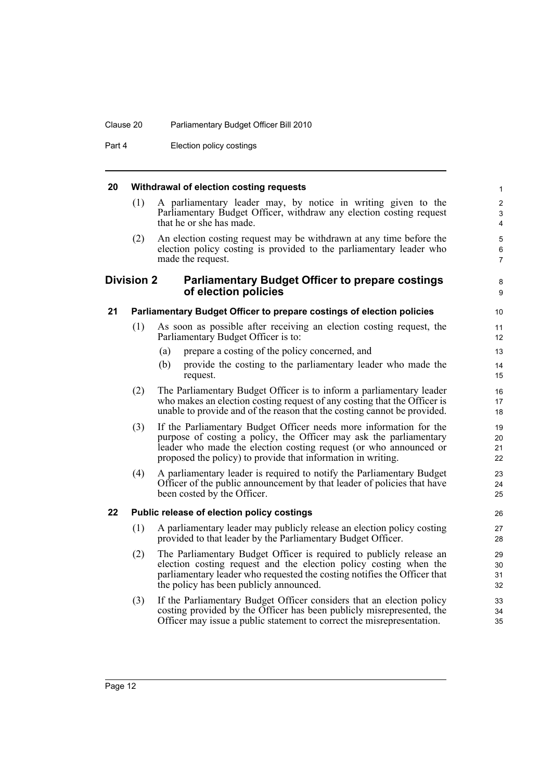#### Clause 20 Parliamentary Budget Officer Bill 2010

Part 4 **Election policy costings** 

#### <span id="page-19-0"></span>**20 Withdrawal of election costing requests**

(1) A parliamentary leader may, by notice in writing given to the Parliamentary Budget Officer, withdraw any election costing request that he or she has made.

8  $\alpha$ 

(2) An election costing request may be withdrawn at any time before the election policy costing is provided to the parliamentary leader who made the request.

#### <span id="page-19-1"></span>**Division 2 Parliamentary Budget Officer to prepare costings of election policies**

#### <span id="page-19-2"></span>**21 Parliamentary Budget Officer to prepare costings of election policies**

- (1) As soon as possible after receiving an election costing request, the Parliamentary Budget Officer is to:
	- (a) prepare a costing of the policy concerned, and
	- (b) provide the costing to the parliamentary leader who made the request.
- (2) The Parliamentary Budget Officer is to inform a parliamentary leader who makes an election costing request of any costing that the Officer is unable to provide and of the reason that the costing cannot be provided.
- (3) If the Parliamentary Budget Officer needs more information for the purpose of costing a policy, the Officer may ask the parliamentary leader who made the election costing request (or who announced or proposed the policy) to provide that information in writing.
- (4) A parliamentary leader is required to notify the Parliamentary Budget Officer of the public announcement by that leader of policies that have been costed by the Officer.

#### <span id="page-19-3"></span>**22 Public release of election policy costings**

- (1) A parliamentary leader may publicly release an election policy costing provided to that leader by the Parliamentary Budget Officer.
- (2) The Parliamentary Budget Officer is required to publicly release an election costing request and the election policy costing when the parliamentary leader who requested the costing notifies the Officer that the policy has been publicly announced.
- (3) If the Parliamentary Budget Officer considers that an election policy costing provided by the Officer has been publicly misrepresented, the Officer may issue a public statement to correct the misrepresentation.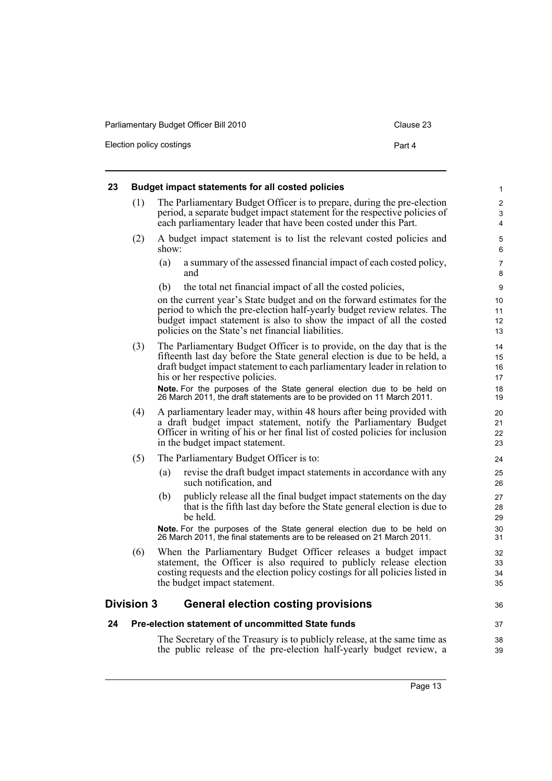Election policy costings **Part 4** 

<span id="page-20-2"></span><span id="page-20-1"></span><span id="page-20-0"></span>

| 23 | <b>Budget impact statements for all costed policies</b>  |                                                                                                                                                                                                                                                                                  |                                       |  |  |
|----|----------------------------------------------------------|----------------------------------------------------------------------------------------------------------------------------------------------------------------------------------------------------------------------------------------------------------------------------------|---------------------------------------|--|--|
|    | (1)                                                      | The Parliamentary Budget Officer is to prepare, during the pre-election<br>period, a separate budget impact statement for the respective policies of<br>each parliamentary leader that have been costed under this Part.                                                         | $\overline{c}$<br>3<br>$\overline{4}$ |  |  |
|    | (2)                                                      | A budget impact statement is to list the relevant costed policies and<br>show:                                                                                                                                                                                                   | 5<br>6                                |  |  |
|    |                                                          | a summary of the assessed financial impact of each costed policy,<br>(a)<br>and                                                                                                                                                                                                  | $\overline{7}$<br>8                   |  |  |
|    |                                                          | (b)<br>the total net financial impact of all the costed policies,                                                                                                                                                                                                                | 9                                     |  |  |
|    |                                                          | on the current year's State budget and on the forward estimates for the<br>period to which the pre-election half-yearly budget review relates. The<br>budget impact statement is also to show the impact of all the costed<br>policies on the State's net financial liabilities. | 10<br>11<br>12<br>13                  |  |  |
|    | (3)                                                      | The Parliamentary Budget Officer is to provide, on the day that is the<br>fifteenth last day before the State general election is due to be held, a<br>draft budget impact statement to each parliamentary leader in relation to<br>his or her respective policies.              | 14<br>15<br>16<br>17                  |  |  |
|    |                                                          | Note. For the purposes of the State general election due to be held on<br>26 March 2011, the draft statements are to be provided on 11 March 2011.                                                                                                                               | 18<br>19                              |  |  |
|    | (4)                                                      | A parliamentary leader may, within 48 hours after being provided with<br>a draft budget impact statement, notify the Parliamentary Budget<br>Officer in writing of his or her final list of costed policies for inclusion<br>in the budget impact statement.                     | 20<br>21<br>22<br>23                  |  |  |
|    | (5)                                                      | The Parliamentary Budget Officer is to:                                                                                                                                                                                                                                          | 24                                    |  |  |
|    |                                                          | revise the draft budget impact statements in accordance with any<br>(a)<br>such notification, and                                                                                                                                                                                | 25<br>26                              |  |  |
|    |                                                          | publicly release all the final budget impact statements on the day<br>(b)<br>that is the fifth last day before the State general election is due to<br>be held.                                                                                                                  | 27<br>28<br>29                        |  |  |
|    |                                                          | Note. For the purposes of the State general election due to be held on<br>26 March 2011, the final statements are to be released on 21 March 2011.                                                                                                                               | 30<br>31                              |  |  |
|    | (6)                                                      | When the Parliamentary Budget Officer releases a budget impact<br>statement, the Officer is also required to publicly release election<br>costing requests and the election policy costings for all policies listed in<br>the budget impact statement.                           | 32<br>33<br>34<br>35                  |  |  |
|    | <b>Division 3</b>                                        | <b>General election costing provisions</b>                                                                                                                                                                                                                                       | 36                                    |  |  |
| 24 | <b>Pre-election statement of uncommitted State funds</b> |                                                                                                                                                                                                                                                                                  |                                       |  |  |
|    |                                                          | The Secretary of the Treasury is to publicly release, at the same time as<br>the public release of the pre-election half-yearly budget review, a                                                                                                                                 | 38<br>39                              |  |  |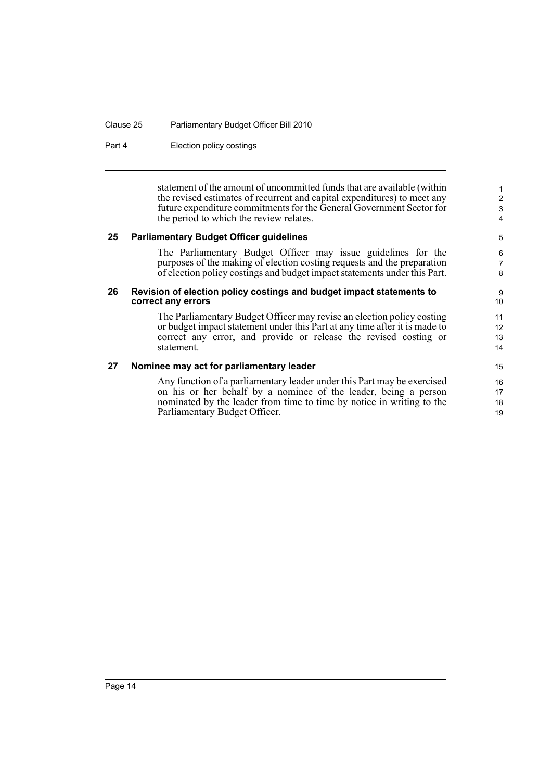#### Clause 25 Parliamentary Budget Officer Bill 2010

Part 4 **Election policy costings** 

statement of the amount of uncommitted funds that are available (within the revised estimates of recurrent and capital expenditures) to meet any future expenditure commitments for the General Government Sector for the period to which the review relates.

#### <span id="page-21-0"></span>**25 Parliamentary Budget Officer guidelines**

The Parliamentary Budget Officer may issue guidelines for the purposes of the making of election costing requests and the preparation of election policy costings and budget impact statements under this Part.

#### <span id="page-21-1"></span>**26 Revision of election policy costings and budget impact statements to correct any errors**

The Parliamentary Budget Officer may revise an election policy costing or budget impact statement under this Part at any time after it is made to correct any error, and provide or release the revised costing or statement.

#### <span id="page-21-2"></span>**27 Nominee may act for parliamentary leader**

Any function of a parliamentary leader under this Part may be exercised on his or her behalf by a nominee of the leader, being a person nominated by the leader from time to time by notice in writing to the Parliamentary Budget Officer.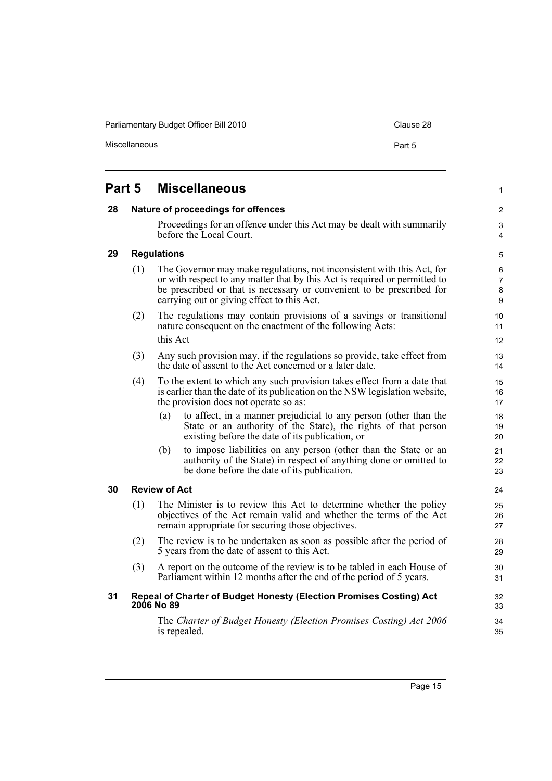Parliamentary Budget Officer Bill 2010 Clause 28

<span id="page-22-2"></span><span id="page-22-1"></span><span id="page-22-0"></span>

| Part 5 |     |                                    | <b>Miscellaneous</b>                                                                                                                                                                                                                                                        | 1                             |
|--------|-----|------------------------------------|-----------------------------------------------------------------------------------------------------------------------------------------------------------------------------------------------------------------------------------------------------------------------------|-------------------------------|
| 28     |     | Nature of proceedings for offences |                                                                                                                                                                                                                                                                             |                               |
|        |     |                                    | Proceedings for an offence under this Act may be dealt with summarily<br>before the Local Court.                                                                                                                                                                            | $\mathfrak{S}$<br>4           |
| 29     |     | <b>Regulations</b>                 |                                                                                                                                                                                                                                                                             | 5                             |
|        | (1) |                                    | The Governor may make regulations, not inconsistent with this Act, for<br>or with respect to any matter that by this Act is required or permitted to<br>be prescribed or that is necessary or convenient to be prescribed for<br>carrying out or giving effect to this Act. | 6<br>$\overline{7}$<br>8<br>9 |
|        | (2) |                                    | The regulations may contain provisions of a savings or transitional<br>nature consequent on the enactment of the following Acts:                                                                                                                                            | 10 <sup>°</sup><br>11         |
|        |     | this Act                           |                                                                                                                                                                                                                                                                             | 12 <sup>2</sup>               |
|        | (3) |                                    | Any such provision may, if the regulations so provide, take effect from<br>the date of assent to the Act concerned or a later date.                                                                                                                                         | 13<br>14                      |
|        | (4) |                                    | To the extent to which any such provision takes effect from a date that<br>is earlier than the date of its publication on the NSW legislation website,<br>the provision does not operate so as:                                                                             | 15<br>16<br>17                |
|        |     | (a)                                | to affect, in a manner prejudicial to any person (other than the<br>State or an authority of the State), the rights of that person<br>existing before the date of its publication, or                                                                                       | 18<br>19<br>20                |
|        |     | (b)                                | to impose liabilities on any person (other than the State or an<br>authority of the State) in respect of anything done or omitted to<br>be done before the date of its publication.                                                                                         | 21<br>22<br>23                |
| 30     |     | <b>Review of Act</b>               |                                                                                                                                                                                                                                                                             | 24                            |
|        | (1) |                                    | The Minister is to review this Act to determine whether the policy<br>objectives of the Act remain valid and whether the terms of the Act<br>remain appropriate for securing those objectives.                                                                              | 25<br>26<br>27                |
|        | (2) |                                    | The review is to be undertaken as soon as possible after the period of<br>5 years from the date of assent to this Act.                                                                                                                                                      | 28<br>29                      |
|        | (3) |                                    | A report on the outcome of the review is to be tabled in each House of<br>Parliament within 12 months after the end of the period of 5 years.                                                                                                                               | 30<br>31                      |
| 31     |     | <b>2006 No 89</b>                  | Repeal of Charter of Budget Honesty (Election Promises Costing) Act                                                                                                                                                                                                         | 32<br>33                      |
|        |     |                                    | The Charter of Budget Honesty (Election Promises Costing) Act 2006                                                                                                                                                                                                          | 34                            |

<span id="page-22-4"></span><span id="page-22-3"></span>is repealed.

35